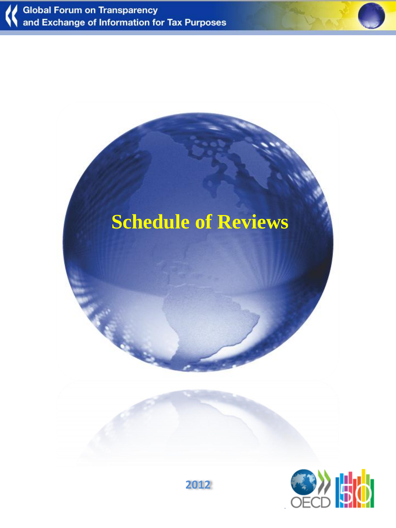



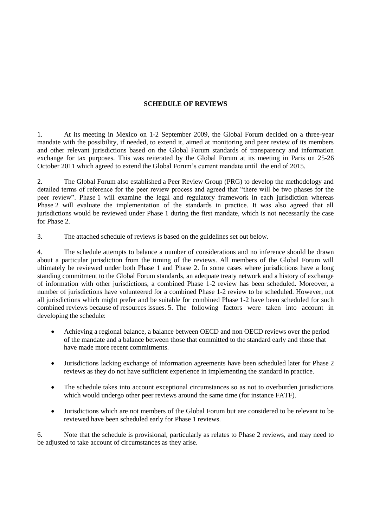## **SCHEDULE OF REVIEWS**

1. At its meeting in Mexico on 1-2 September 2009, the Global Forum decided on a three-year mandate with the possibility, if needed, to extend it, aimed at monitoring and peer review of its members and other relevant jurisdictions based on the Global Forum standards of transparency and information exchange for tax purposes. This was reiterated by the Global Forum at its meeting in Paris on 25-26 October 2011 which agreed to extend the Global Forum's current mandate until the end of 2015.

2. The Global Forum also established a Peer Review Group (PRG) to develop the methodology and detailed terms of reference for the peer review process and agreed that "there will be two phases for the peer review". Phase 1 will examine the legal and regulatory framework in each jurisdiction whereas Phase 2 will evaluate the implementation of the standards in practice. It was also agreed that all jurisdictions would be reviewed under Phase 1 during the first mandate, which is not necessarily the case for Phase 2.

3. The attached schedule of reviews is based on the guidelines set out below.

4. The schedule attempts to balance a number of considerations and no inference should be drawn about a particular jurisdiction from the timing of the reviews. All members of the Global Forum will ultimately be reviewed under both Phase 1 and Phase 2. In some cases where jurisdictions have a long standing commitment to the Global Forum standards, an adequate treaty network and a history of exchange of information with other jurisdictions, a combined Phase 1-2 review has been scheduled. Moreover, a number of jurisdictions have volunteered for a combined Phase 1-2 review to be scheduled. However, not all jurisdictions which might prefer and be suitable for combined Phase 1-2 have been scheduled for such combined reviews because of resources issues. 5. The following factors were taken into account in developing the schedule:

- Achieving a regional balance, a balance between OECD and non OECD reviews over the period of the mandate and a balance between those that committed to the standard early and those that have made more recent commitments.
- Jurisdictions lacking exchange of information agreements have been scheduled later for Phase 2 reviews as they do not have sufficient experience in implementing the standard in practice.
- The schedule takes into account exceptional circumstances so as not to overburden jurisdictions which would undergo other peer reviews around the same time (for instance FATF).
- Jurisdictions which are not members of the Global Forum but are considered to be relevant to be reviewed have been scheduled early for Phase 1 reviews.

6. Note that the schedule is provisional, particularly as relates to Phase 2 reviews, and may need to be adjusted to take account of circumstances as they arise.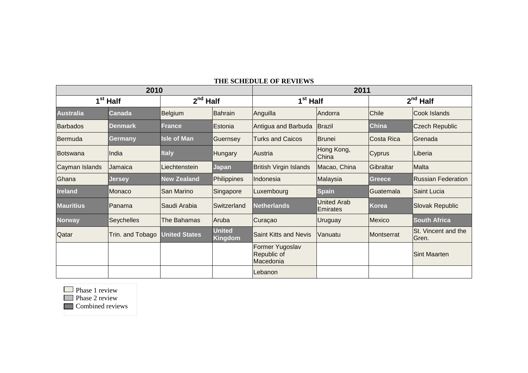## **THE SCHEDULE OF REVIEWS**

| 2010                 |                   |                      |                                 | 2011                                        |                                |              |                              |  |
|----------------------|-------------------|----------------------|---------------------------------|---------------------------------------------|--------------------------------|--------------|------------------------------|--|
| 1 <sup>st</sup> Half |                   | $2nd$ Half           |                                 | 1 <sup>st</sup> Half                        |                                | $2nd$ Half   |                              |  |
| <b>Australia</b>     | Canada            | <b>Belgium</b>       | Bahrain                         | Anguilla                                    | Andorra                        | Chile        | Cook Islands                 |  |
| <b>Barbados</b>      | <b>Denmark</b>    | <b>France</b>        | Estonia                         | Antigua and Barbuda                         | Brazil                         | <b>China</b> | <b>Czech Republic</b>        |  |
| Bermuda              | Germany           | <b>Isle of Man</b>   | Guernsey                        | <b>Turks and Caicos</b>                     | Brunei                         | Costa Rica   | Grenada                      |  |
| Botswana             | India             | <b>Italy</b>         | Hungary                         | <b>Austria</b>                              | Hong Kong,<br>China            | Cyprus       | Liberia                      |  |
| Cayman Islands       | <b>Jamaica</b>    | lLiechtenstein       | <b>Japan</b>                    | <b>British Virgin Islands</b>               | Macao, China                   | Gibraltar    | <b>Malta</b>                 |  |
| Ghana                | <b>Jersey</b>     | <b>New Zealand</b>   | Philippines                     | Indonesia                                   | Malaysia                       | Greece       | <b>Russian Federation</b>    |  |
| <b>Ireland</b>       | Monaco            | San Marino           | Singapore                       | Luxembourg                                  | <b>Spain</b>                   | Guatemala    | Saint Lucia                  |  |
| <b>Mauritius</b>     | Panama            | Saudi Arabia         | <b>ISwitzerland</b>             | <b>Netherlands</b>                          | <b>United Arab</b><br>Emirates | <b>Korea</b> | <b>Slovak Republic</b>       |  |
| <b>Norway</b>        | <b>Seychelles</b> | The Bahamas          | Aruba                           | Curaçao                                     | <b>Uruguay</b>                 | Mexico       | <b>South Africa</b>          |  |
| Qatar                | Trin. and Tobago  | <b>United States</b> | <b>United</b><br><b>Kingdom</b> | <b>Saint Kitts and Nevis</b>                | <b>Vanuatu</b>                 | Montserrat   | St. Vincent and the<br>Gren. |  |
|                      |                   |                      |                                 | Former Yugoslav<br>Republic of<br>Macedonia |                                |              | <b>Sint Maarten</b>          |  |
|                      |                   |                      |                                 | Lebanon                                     |                                |              |                              |  |

**Phase 1 review** 

**Phase 2 review** 

**Combined reviews**